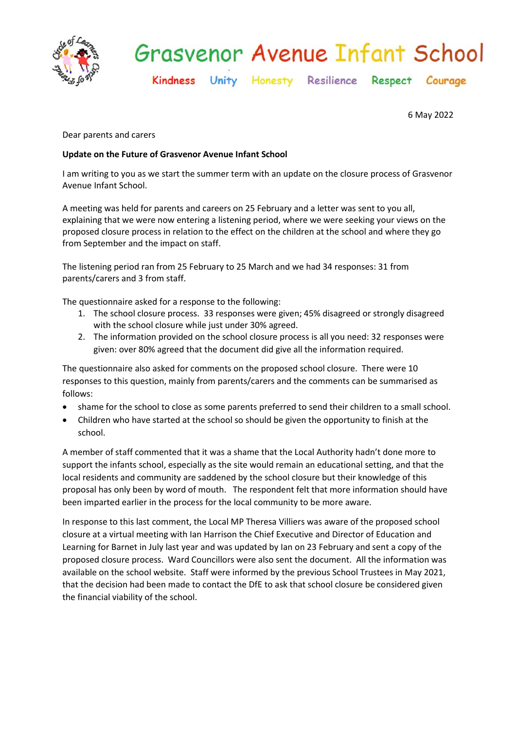

# **Grasvenor Avenue Infant School**

Kindness Unity Honesty Resilience Respect Courage

6 May 2022

Dear parents and carers

# **Update on the Future of Grasvenor Avenue Infant School**

I am writing to you as we start the summer term with an update on the closure process of Grasvenor Avenue Infant School.

A meeting was held for parents and careers on 25 February and a letter was sent to you all, explaining that we were now entering a listening period, where we were seeking your views on the proposed closure process in relation to the effect on the children at the school and where they go from September and the impact on staff.

The listening period ran from 25 February to 25 March and we had 34 responses: 31 from parents/carers and 3 from staff.

The questionnaire asked for a response to the following:

- 1. The school closure process. 33 responses were given; 45% disagreed or strongly disagreed with the school closure while just under 30% agreed.
- 2. The information provided on the school closure process is all you need: 32 responses were given: over 80% agreed that the document did give all the information required.

The questionnaire also asked for comments on the proposed school closure. There were 10 responses to this question, mainly from parents/carers and the comments can be summarised as follows:

- shame for the school to close as some parents preferred to send their children to a small school.
- Children who have started at the school so should be given the opportunity to finish at the school.

A member of staff commented that it was a shame that the Local Authority hadn't done more to support the infants school, especially as the site would remain an educational setting, and that the local residents and community are saddened by the school closure but their knowledge of this proposal has only been by word of mouth. The respondent felt that more information should have been imparted earlier in the process for the local community to be more aware.

In response to this last comment, the Local MP Theresa Villiers was aware of the proposed school closure at a virtual meeting with Ian Harrison the Chief Executive and Director of Education and Learning for Barnet in July last year and was updated by Ian on 23 February and sent a copy of the proposed closure process. Ward Councillors were also sent the document. All the information was available on the school website. Staff were informed by the previous School Trustees in May 2021, that the decision had been made to contact the DfE to ask that school closure be considered given the financial viability of the school.